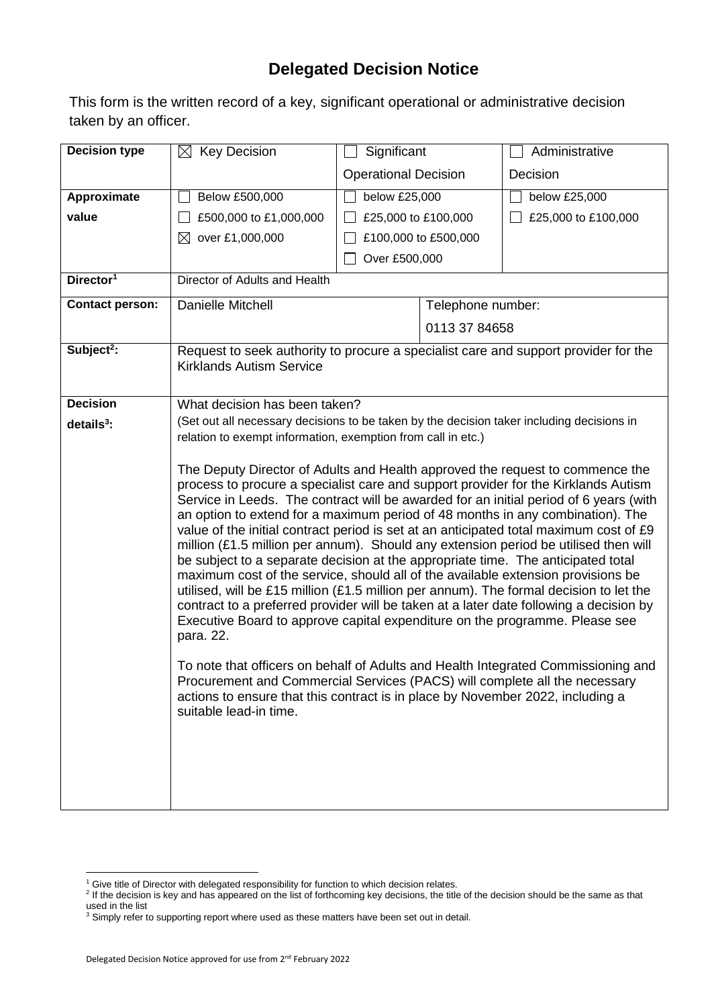## **Delegated Decision Notice**

This form is the written record of a key, significant operational or administrative decision taken by an officer.

| <b>Decision type</b>   | <b>Key Decision</b><br>$\bowtie$                                                                                                                                                                                                                                                                                                                                                                                                                                                                                                                                                                                                                                                                                                                                                                                                                                                                                                                                                                                                                                                                                                                                                                                                                                       | Significant                 |                      | Administrative      |  |  |
|------------------------|------------------------------------------------------------------------------------------------------------------------------------------------------------------------------------------------------------------------------------------------------------------------------------------------------------------------------------------------------------------------------------------------------------------------------------------------------------------------------------------------------------------------------------------------------------------------------------------------------------------------------------------------------------------------------------------------------------------------------------------------------------------------------------------------------------------------------------------------------------------------------------------------------------------------------------------------------------------------------------------------------------------------------------------------------------------------------------------------------------------------------------------------------------------------------------------------------------------------------------------------------------------------|-----------------------------|----------------------|---------------------|--|--|
|                        |                                                                                                                                                                                                                                                                                                                                                                                                                                                                                                                                                                                                                                                                                                                                                                                                                                                                                                                                                                                                                                                                                                                                                                                                                                                                        | <b>Operational Decision</b> |                      | Decision            |  |  |
| Approximate            | Below £500,000                                                                                                                                                                                                                                                                                                                                                                                                                                                                                                                                                                                                                                                                                                                                                                                                                                                                                                                                                                                                                                                                                                                                                                                                                                                         | below £25,000               |                      | below £25,000       |  |  |
| value                  | £500,000 to £1,000,000                                                                                                                                                                                                                                                                                                                                                                                                                                                                                                                                                                                                                                                                                                                                                                                                                                                                                                                                                                                                                                                                                                                                                                                                                                                 | £25,000 to £100,000         |                      | £25,000 to £100,000 |  |  |
|                        | over £1,000,000<br>⊠                                                                                                                                                                                                                                                                                                                                                                                                                                                                                                                                                                                                                                                                                                                                                                                                                                                                                                                                                                                                                                                                                                                                                                                                                                                   |                             | £100,000 to £500,000 |                     |  |  |
|                        |                                                                                                                                                                                                                                                                                                                                                                                                                                                                                                                                                                                                                                                                                                                                                                                                                                                                                                                                                                                                                                                                                                                                                                                                                                                                        | Over £500,000               |                      |                     |  |  |
| Director <sup>1</sup>  | Director of Adults and Health                                                                                                                                                                                                                                                                                                                                                                                                                                                                                                                                                                                                                                                                                                                                                                                                                                                                                                                                                                                                                                                                                                                                                                                                                                          |                             |                      |                     |  |  |
| <b>Contact person:</b> | Danielle Mitchell                                                                                                                                                                                                                                                                                                                                                                                                                                                                                                                                                                                                                                                                                                                                                                                                                                                                                                                                                                                                                                                                                                                                                                                                                                                      |                             | Telephone number:    |                     |  |  |
|                        |                                                                                                                                                                                                                                                                                                                                                                                                                                                                                                                                                                                                                                                                                                                                                                                                                                                                                                                                                                                                                                                                                                                                                                                                                                                                        | 0113 37 84658               |                      |                     |  |  |
| Subject <sup>2</sup> : | Request to seek authority to procure a specialist care and support provider for the<br><b>Kirklands Autism Service</b>                                                                                                                                                                                                                                                                                                                                                                                                                                                                                                                                                                                                                                                                                                                                                                                                                                                                                                                                                                                                                                                                                                                                                 |                             |                      |                     |  |  |
| <b>Decision</b>        | What decision has been taken?                                                                                                                                                                                                                                                                                                                                                                                                                                                                                                                                                                                                                                                                                                                                                                                                                                                                                                                                                                                                                                                                                                                                                                                                                                          |                             |                      |                     |  |  |
| details $3$ :          | (Set out all necessary decisions to be taken by the decision taker including decisions in                                                                                                                                                                                                                                                                                                                                                                                                                                                                                                                                                                                                                                                                                                                                                                                                                                                                                                                                                                                                                                                                                                                                                                              |                             |                      |                     |  |  |
|                        | relation to exempt information, exemption from call in etc.)                                                                                                                                                                                                                                                                                                                                                                                                                                                                                                                                                                                                                                                                                                                                                                                                                                                                                                                                                                                                                                                                                                                                                                                                           |                             |                      |                     |  |  |
|                        | The Deputy Director of Adults and Health approved the request to commence the<br>process to procure a specialist care and support provider for the Kirklands Autism<br>Service in Leeds. The contract will be awarded for an initial period of 6 years (with<br>an option to extend for a maximum period of 48 months in any combination). The<br>value of the initial contract period is set at an anticipated total maximum cost of £9<br>million (£1.5 million per annum). Should any extension period be utilised then will<br>be subject to a separate decision at the appropriate time. The anticipated total<br>maximum cost of the service, should all of the available extension provisions be<br>utilised, will be £15 million (£1.5 million per annum). The formal decision to let the<br>contract to a preferred provider will be taken at a later date following a decision by<br>Executive Board to approve capital expenditure on the programme. Please see<br>para. 22.<br>To note that officers on behalf of Adults and Health Integrated Commissioning and<br>Procurement and Commercial Services (PACS) will complete all the necessary<br>actions to ensure that this contract is in place by November 2022, including a<br>suitable lead-in time. |                             |                      |                     |  |  |

1

<sup>&</sup>lt;sup>1</sup> Give title of Director with delegated responsibility for function to which decision relates.<br><sup>2</sup> If the decision is key and has appeared on the list of forthcoming key decisions, the title of the decision should be the used in the list

 $3$  Simply refer to supporting report where used as these matters have been set out in detail.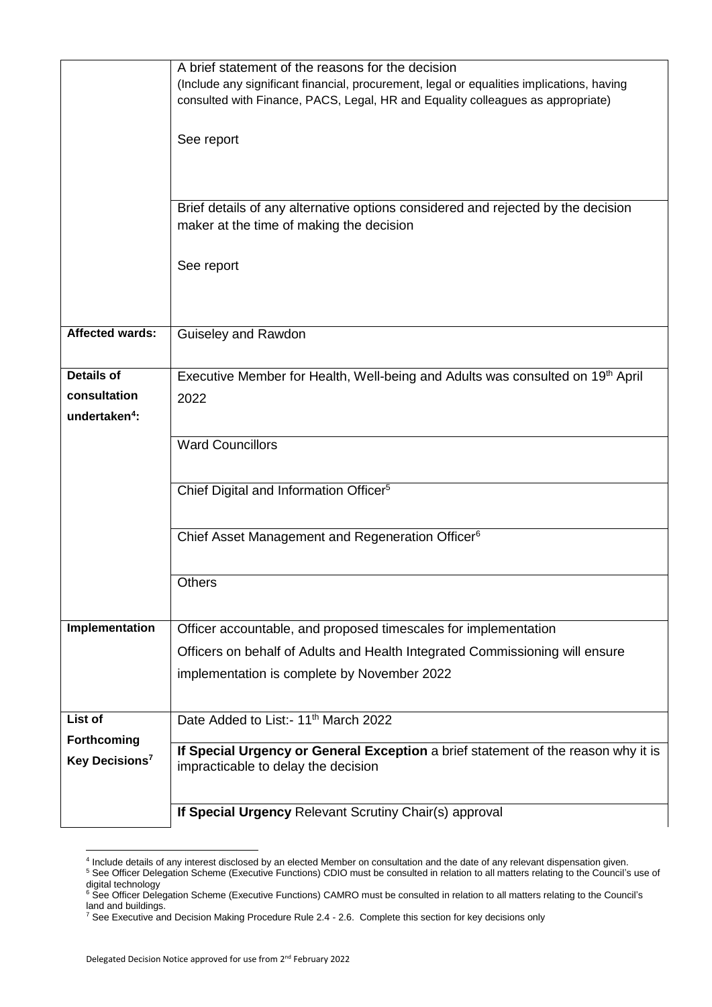|                            | A brief statement of the reasons for the decision                                                                                                                            |  |  |  |  |  |
|----------------------------|------------------------------------------------------------------------------------------------------------------------------------------------------------------------------|--|--|--|--|--|
|                            | (Include any significant financial, procurement, legal or equalities implications, having<br>consulted with Finance, PACS, Legal, HR and Equality colleagues as appropriate) |  |  |  |  |  |
|                            | See report                                                                                                                                                                   |  |  |  |  |  |
|                            |                                                                                                                                                                              |  |  |  |  |  |
|                            | Brief details of any alternative options considered and rejected by the decision<br>maker at the time of making the decision                                                 |  |  |  |  |  |
|                            | See report                                                                                                                                                                   |  |  |  |  |  |
|                            |                                                                                                                                                                              |  |  |  |  |  |
| Affected wards:            | Guiseley and Rawdon                                                                                                                                                          |  |  |  |  |  |
| <b>Details of</b>          | Executive Member for Health, Well-being and Adults was consulted on 19th April                                                                                               |  |  |  |  |  |
| consultation               | 2022                                                                                                                                                                         |  |  |  |  |  |
| undertaken <sup>4</sup> :  |                                                                                                                                                                              |  |  |  |  |  |
|                            | <b>Ward Councillors</b>                                                                                                                                                      |  |  |  |  |  |
|                            | Chief Digital and Information Officer <sup>5</sup>                                                                                                                           |  |  |  |  |  |
|                            | Chief Asset Management and Regeneration Officer <sup>6</sup>                                                                                                                 |  |  |  |  |  |
|                            | <b>Others</b>                                                                                                                                                                |  |  |  |  |  |
| Implementation             | Officer accountable, and proposed timescales for implementation                                                                                                              |  |  |  |  |  |
|                            | Officers on behalf of Adults and Health Integrated Commissioning will ensure                                                                                                 |  |  |  |  |  |
|                            | implementation is complete by November 2022                                                                                                                                  |  |  |  |  |  |
| List of                    | Date Added to List:- 11 <sup>th</sup> March 2022                                                                                                                             |  |  |  |  |  |
| Forthcoming                |                                                                                                                                                                              |  |  |  |  |  |
| Key Decisions <sup>7</sup> | If Special Urgency or General Exception a brief statement of the reason why it is<br>impracticable to delay the decision                                                     |  |  |  |  |  |
|                            | If Special Urgency Relevant Scrutiny Chair(s) approval                                                                                                                       |  |  |  |  |  |

 4 Include details of any interest disclosed by an elected Member on consultation and the date of any relevant dispensation given. <sup>5</sup> See Officer Delegation Scheme (Executive Functions) CDIO must be consulted in relation to all matters relating to the Council's use of digital technology

<sup>&</sup>lt;sup>6</sup> See Officer Delegation Scheme (Executive Functions) CAMRO must be consulted in relation to all matters relating to the Council's land and buildings.

<sup>&</sup>lt;sup>7</sup> See Executive and Decision Making Procedure Rule 2.4 - 2.6. Complete this section for key decisions only